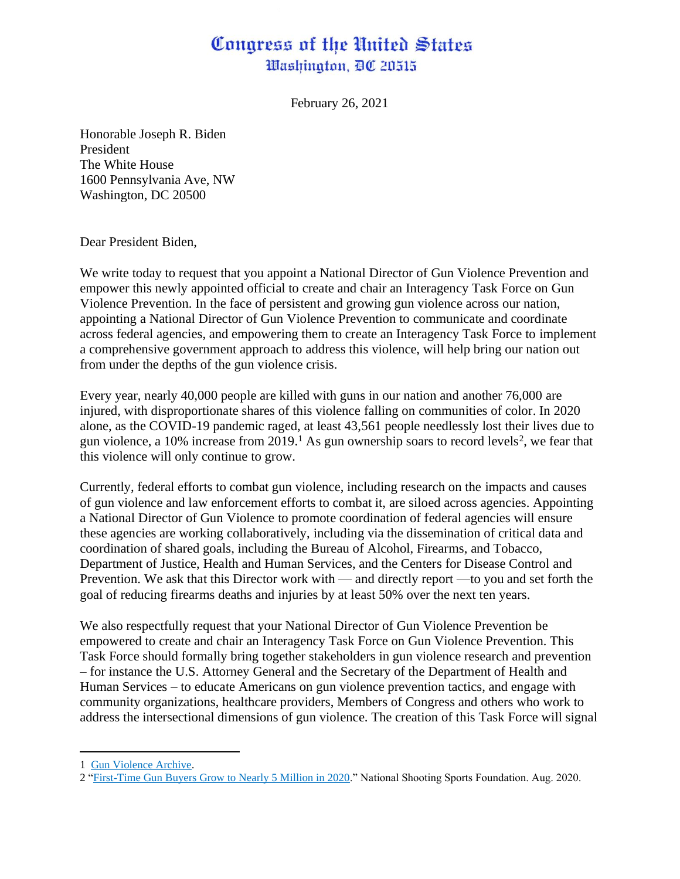## Congress of the United States Washington, DC 20515

February 26, 2021

Honorable Joseph R. Biden President The White House 1600 Pennsylvania Ave, NW Washington, DC 20500

Dear President Biden,

We write today to request that you appoint a National Director of Gun Violence Prevention and empower this newly appointed official to create and chair an Interagency Task Force on Gun Violence Prevention. In the face of persistent and growing gun violence across our nation, appointing a National Director of Gun Violence Prevention to communicate and coordinate across federal agencies, and empowering them to create an Interagency Task Force to implement a comprehensive government approach to address this violence, will help bring our nation out from under the depths of the gun violence crisis.

Every year, nearly 40,000 people are killed with guns in our nation and another 76,000 are injured, with disproportionate shares of this violence falling on communities of color. In 2020 alone, as the COVID-19 pandemic raged, at least 43,561 people needlessly lost their lives due to gun violence, a 10% increase from 2019.<sup>1</sup> As gun ownership soars to record levels<sup>2</sup>, we fear that this violence will only continue to grow.

Currently, federal efforts to combat gun violence, including research on the impacts and causes of gun violence and law enforcement efforts to combat it, are siloed across agencies. Appointing a National Director of Gun Violence to promote coordination of federal agencies will ensure these agencies are working collaboratively, including via the dissemination of critical data and coordination of shared goals, including the Bureau of Alcohol, Firearms, and Tobacco, Department of Justice, Health and Human Services, and the Centers for Disease Control and Prevention. We ask that this Director work with — and directly report —to you and set forth the goal of reducing firearms deaths and injuries by at least 50% over the next ten years.

We also respectfully request that your National Director of Gun Violence Prevention be empowered to create and chair an Interagency Task Force on Gun Violence Prevention. This Task Force should formally bring together stakeholders in gun violence research and prevention – for instance the U.S. Attorney General and the Secretary of the Department of Health and Human Services – to educate Americans on gun violence prevention tactics, and engage with community organizations, healthcare providers, Members of Congress and others who work to address the intersectional dimensions of gun violence. The creation of this Task Force will signal

<sup>1</sup> [Gun Violence Archive.](https://www.gunviolencearchive.org/past-tolls)

<sup>2</sup> ["First-Time Gun Buyers Grow to Nearly 5 Million in 2020."](https://www.nssf.org/first-time-gun-buyers-grow-to-nearly-5-million-in-2020/) National Shooting Sports Foundation. Aug. 2020.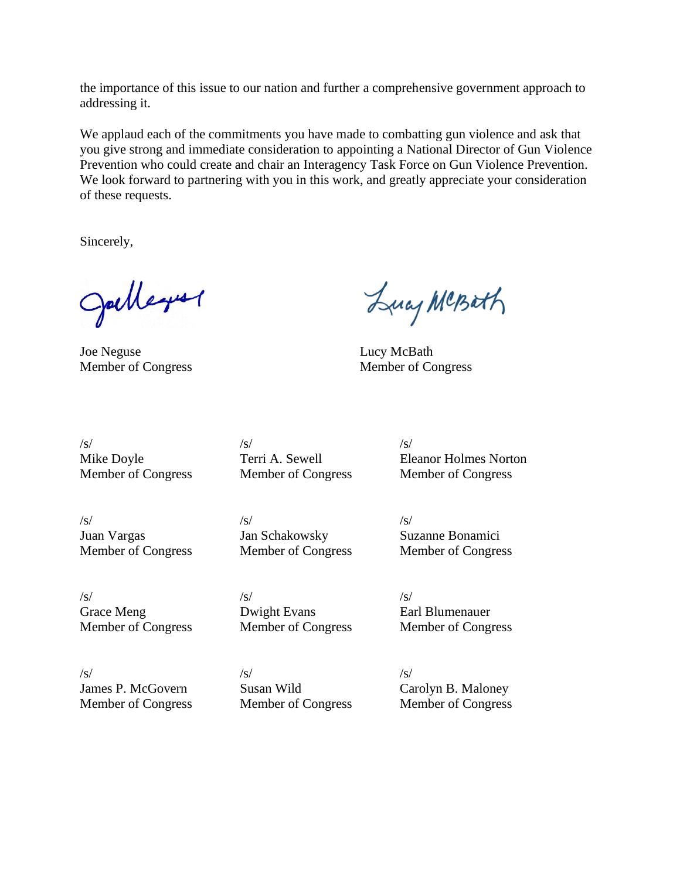the importance of this issue to our nation and further a comprehensive government approach to addressing it.

We applaud each of the commitments you have made to combatting gun violence and ask that you give strong and immediate consideration to appointing a National Director of Gun Violence Prevention who could create and chair an Interagency Task Force on Gun Violence Prevention. We look forward to partnering with you in this work, and greatly appreciate your consideration of these requests.

Sincerely,

Julleyer

Joe Neguse Lucy McBath

Lucy MCBath

Member of Congress Member of Congress

Mike Doyle Terri A. Sewell Eleanor Holmes Norton Member of Congress Member of Congress Member of Congress

 $\sqrt{s}}/s$  /s/

 $\sqrt{s}}/s$  /s/ Juan Vargas Jan Schakowsky Suzanne Bonamici

 $\sqrt{s}}/s$  /s/

Grace Meng Dwight Evans Earl Blumenauer Member of Congress Member of Congress Member of Congress

 $\sqrt{s}}$ /s/  $\sqrt{s}$ /

Member of Congress Member of Congress Member of Congress

James P. McGovern Susan Wild Carolyn B. Maloney Member of Congress Member of Congress Member of Congress